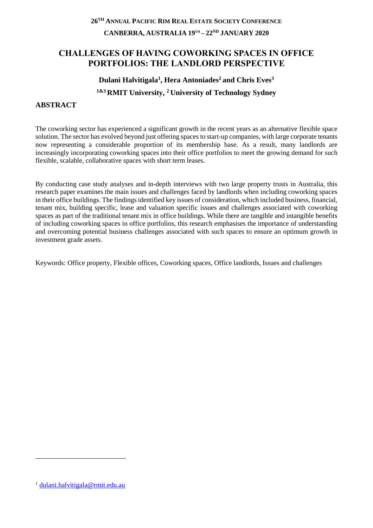## **26 TH ANNUAL PACIFIC RIM REAL ESTATE SOCIETY CONFERENCE CANBERRA, AUSTRALIA 19TH – 22ND JANUARY 2020**

## **CHALLENGES OF HAVING COWORKING SPACES IN OFFICE PORTFOLIOS: THE LANDLORD PERSPECTIVE**

# **Dulani Halvitigala<sup>1</sup> , Hera Antoniades<sup>2</sup>and Chris Eves<sup>3</sup> 1&3 RMIT University, <sup>2</sup>University of Technology Sydney**

## **ABSTRACT**

The coworking sector has experienced a significant growth in the recent years as an alternative flexible space solution. The sector has evolved beyond just offering spaces to start-up companies, with large corporate tenants now representing a considerable proportion of its membership base. As a result, many landlords are increasingly incorporating coworking spaces into their office portfolios to meet the growing demand for such flexible, scalable, collaborative spaces with short term leases.

By conducting case study analyses and in-depth interviews with two large property trusts in Australia, this research paper examines the main issues and challenges faced by landlords when including coworking spaces in their office buildings. The findings identified key issues of consideration, which included business, financial, tenant mix, building specific, lease and valuation specific issues and challenges associated with coworking spaces as part of the traditional tenant mix in office buildings. While there are tangible and intangible benefits of including coworking spaces in office portfolios, this research emphasises the importance of understanding and overcoming potential business challenges associated with such spaces to ensure an optimum growth in investment grade assets.

Keywords: Office property, Flexible offices, Coworking spaces, Office landlords, Issues and challenges

1

<sup>1</sup> [dulani.halvitigala@rmit.edu.au](mailto:dulani.halvitigala@rmit.edu.au)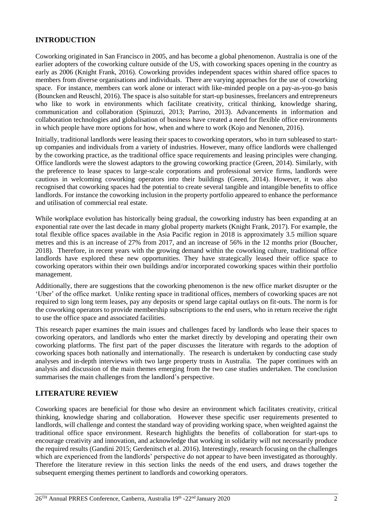## **INTRODUCTION**

Coworking originated in San Francisco in 2005, and has become a global phenomenon. Australia is one of the earlier adopters of the coworking culture outside of the US, with coworking spaces opening in the country as early as 2006 (Knight Frank, 2016). Coworking provides independent spaces within shared office spaces to members from diverse organisations and individuals. There are varying approaches for the use of coworking space. For instance, members can work alone or interact with like-minded people on a pay-as-you-go basis (Bouncken and Reuschl, 2016). The space is also suitable for start-up businesses, freelancers and entrepreneurs who like to work in environments which facilitate creativity, critical thinking, knowledge sharing, communication and collaboration (Spinuzzi, 2013; Parrino, 2013). Advancements in information and collaboration technologies and globalisation of business have created a need for flexible office environments in which people have more options for how, when and where to work (Kojo and Nenonen, 2016).

Initially, traditional landlords were leasing their spaces to coworking operators, who in turn subleased to startup companies and individuals from a variety of industries. However, many office landlords were challenged by the coworking practice, as the traditional office space requirements and leasing principles were changing. Office landlords were the slowest adaptors to the growing coworking practice (Green, 2014). Similarly, with the preference to lease spaces to large-scale corporations and professional service firms, landlords were cautious in welcoming coworking operators into their buildings (Green, 2014). However, it was also recognised that coworking spaces had the potential to create several tangible and intangible benefits to office landlords. For instance the coworking inclusion in the property portfolio appeared to enhance the performance and utilisation of commercial real estate.

While workplace evolution has historically being gradual, the coworking industry has been expanding at an exponential rate over the last decade in many global property markets (Knight Frank, 2017). For example, the total flexible office spaces available in the Asia Pacific region in 2018 is approximately 3.5 million square metres and this is an increase of 27% from 2017, and an increase of 56% in the 12 months prior (Boucher, 2018). Therefore, in recent years with the growing demand within the coworking culture, traditional office landlords have explored these new opportunities. They have strategically leased their office space to coworking operators within their own buildings and/or incorporated coworking spaces within their portfolio management.

Additionally, there are suggestions that the coworking phenomenon is the new office market disrupter or the 'Uber' of the office market. Unlike renting space in traditional offices, members of coworking spaces are not required to sign long term leases, pay any deposits or spend large capital outlays on fit-outs. The norm is for the coworking operators to provide membership subscriptions to the end users, who in return receive the right to use the office space and associated facilities.

This research paper examines the main issues and challenges faced by landlords who lease their spaces to coworking operators, and landlords who enter the market directly by developing and operating their own coworking platforms. The first part of the paper discusses the literature with regards to the adoption of coworking spaces both nationally and internationally. The research is undertaken by conducting case study analyses and in-depth interviews with two large property trusts in Australia. The paper continues with an analysis and discussion of the main themes emerging from the two case studies undertaken. The conclusion summarises the main challenges from the landlord's perspective.

### **LITERATURE REVIEW**

Coworking spaces are beneficial for those who desire an environment which facilitates creativity, critical thinking, knowledge sharing and collaboration. However these specific user requirements presented to landlords, will challenge and contest the standard way of providing working space, when weighted against the traditional office space environment. Research highlights the benefits of collaboration for start-ups to encourage creativity and innovation, and acknowledge that working in solidarity will not necessarily produce the required results (Gandini 2015; Gerdenitsch et al. 2016). Interestingly, research focusing on the challenges which are experienced from the landlords' perspective do not appear to have been investigated as thoroughly. Therefore the literature review in this section links the needs of the end users, and draws together the subsequent emerging themes pertinent to landlords and coworking operators.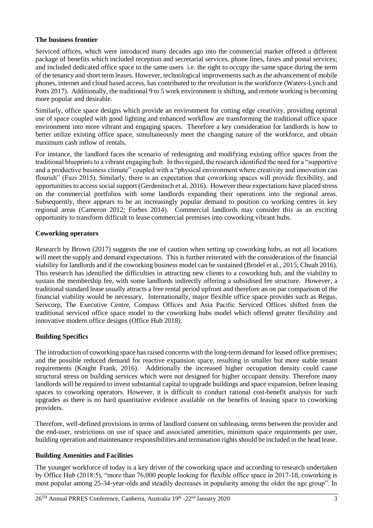### **The business frontier**

Serviced offices, which were introduced many decades ago into the commercial market offered a different package of benefits which included reception and secretarial services, phone lines, faxes and postal services; and included dedicated office space to the same users i.e. the right to occupy the same space during the term of the tenancy and short term leases. However, technological improvements such as the advancement of mobile phones, internet and cloud based access, has contributed to the revolution in the workforce (Waters-Lynch and Potts 2017). Additionally, the traditional 9 to 5 work environment is shifting, and remote working is becoming more popular and desirable.

Similarly, office space designs which provide an environment for cutting edge creativity, providing optimal use of space coupled with good lighting and enhanced workflow are transforming the traditional office space environment into more vibrant and engaging spaces. Therefore a key consideration for landlords is how to better utilize existing office space, simultaneously meet the changing nature of the workforce, and obtain maximum cash inflow of rentals.

For instance, the landlord faces the scenario of redesigning and modifying existing office spaces from the traditional blueprints to a vibrant engaging hub. In this regard, the research identified the need for a "supportive and a productive business climate" coupled with a "physical environment where creativity and innovation can flourish" (Fuzi 2015). Similarly, there is an expectation that coworking spaces will provide flexibility, and opportunities to access social support (Gerdenitsch et al. 2016). However these expectations have placed stress on the commercial portfolios with some landlords expanding their operations into the regional areas. Subsequently, there appears to be an increasingly popular demand to position co working centres in key regional areas (Cameron 2012; Forbes 2014). Commercial landlords may consider this as an exciting opportunity to transform difficult to lease commercial premises into coworking vibrant hubs.

### **Coworking operators**

Research by Brown (2017) suggests the use of caution when setting up coworking hubs, as not all locations will meet the supply and demand expectations. This is further reiterated with the consideration of the financial viability for landlords and if the coworking business model can be sustained (Brodel et al., 2015; Chuah 2016). This research has identified the difficulties in attracting new clients to a coworking hub, and the viability to sustain the membership fee, with some landlords indirectly offering a subsidised fee structure. However, a traditional standard lease usually attracts a free rental period upfront and therefore an on par comparison of the financial viability would be necessary. Internationally, major flexible office space provides such as Regus, Servcorp, The Executive Centre, Compass Offices and Asia Pacific Serviced Offices shifted from the traditional serviced office space model to the coworking hubs model which offered greater flexibility and innovative modern office designs (Office Hub 2018).

### **Building Specifics**

The introduction of coworking space has raised concerns with the long-term demand for leased office premises; and the possible reduced demand for reactive expansion space, resulting in smaller but more stable tenant requirements (Knight Frank, 2016). Additionally the increased higher occupation density could cause structural stress on building services which were not designed for higher occupant density. Therefore many landlords will be required to invest substantial capital to upgrade buildings and space expansion, before leasing spaces to coworking operators. However, it is difficult to conduct rational cost-benefit analysis for such upgrades as there is no hard quantitative evidence available on the benefits of leasing space to coworking providers.

Therefore, well-defined provisions in terms of landlord consent on subleasing, terms between the provider and the end-user, restrictions on use of space and associated amenities, minimum space requirements per user, building operation and maintenance responsibilities and termination rights should be included in the head lease.

### **Building Amenities and Facilities**

The younger workforce of today is a key driver of the coworking space and according to research undertaken by Office Hub (2018:5), "more than 76,000 people looking for flexible office space in 2017-18, coworking is most popular among 25-34-year-olds and steadily decreases in popularity among the older the age group". In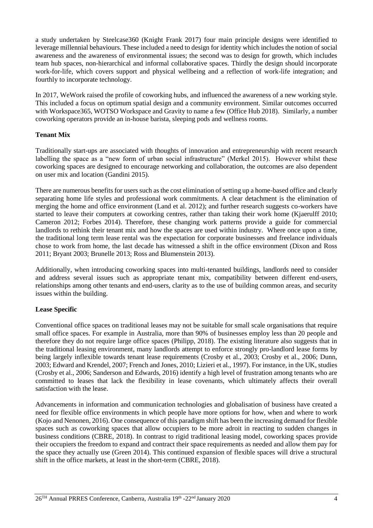a study undertaken by Steelcase360 (Knight Frank 2017) four main principle designs were identified to leverage millennial behaviours. These included a need to design for identity which includes the notion of social awareness and the awareness of environmental issues; the second was to design for growth, which includes team hub spaces, non-hierarchical and informal collaborative spaces. Thirdly the design should incorporate work-for-life, which covers support and physical wellbeing and a reflection of work-life integration; and fourthly to incorporate technology.

In 2017, WeWork raised the profile of coworking hubs, and influenced the awareness of a new working style. This included a focus on optimum spatial design and a community environment. Similar outcomes occurred with Workspace365, WOTSO Workspace and Gravity to name a few (Office Hub 2018). Similarly, a number coworking operators provide an in-house barista, sleeping pods and wellness rooms.

### **Tenant Mix**

Traditionally start-ups are associated with thoughts of innovation and entrepreneurship with recent research labelling the space as a "new form of urban social infrastructure" (Merkel 2015). However whilst these coworking spaces are designed to encourage networking and collaboration, the outcomes are also dependent on user mix and location (Gandini 2015).

There are numerous benefits for users such as the cost elimination of setting up a home-based office and clearly separating home life styles and professional work commitments. A clear detachment is the elimination of merging the home and office environment (Land et al. 2012); and further research suggests co-workers have started to leave their computers at coworking centres, rather than taking their work home (Kjaerulff 2010; Cameron 2012; Forbes 2014). Therefore, these changing work patterns provide a guide for commercial landlords to rethink their tenant mix and how the spaces are used within industry. Where once upon a time, the traditional long term lease rental was the expectation for corporate businesses and freelance individuals chose to work from home, the last decade has witnessed a shift in the office environment (Dixon and Ross 2011; Bryant 2003; Brunelle 2013; Ross and Blumenstein 2013).

Additionally, when introducing coworking spaces into multi-tenanted buildings, landlords need to consider and address several issues such as appropriate tenant mix, compatibility between different end-users, relationships among other tenants and end-users, clarity as to the use of building common areas, and security issues within the building.

### **Lease Specific**

Conventional office spaces on traditional leases may not be suitable for small scale organisations that require small office spaces. For example in Australia, more than 90% of businesses employ less than 20 people and therefore they do not require large office spaces (Philipp, 2018). The existing literature also suggests that in the traditional leasing environment, many landlords attempt to enforce strongly pro-landlord lease forms by being largely inflexible towards tenant lease requirements (Crosby et al., 2003; Crosby et al., 2006; Dunn, 2003; Edward and Krendel, 2007; French and Jones, 2010; Lizieri et al., 1997). For instance, in the UK, studies (Crosby et al., 2006; Sanderson and Edwards, 2016) identify a high level of frustration among tenants who are committed to leases that lack the flexibility in lease covenants, which ultimately affects their overall satisfaction with the lease.

Advancements in information and communication technologies and globalisation of business have created a need for flexible office environments in which people have more options for how, when and where to work (Kojo and Nenonen, 2016). One consequence of this paradigm shift has been the increasing demand for flexible spaces such as coworking spaces that allow occupiers to be more adroit in reacting to sudden changes in business conditions (CBRE, 2018). In contrast to rigid traditional leasing model, coworking spaces provide their occupiers the freedom to expand and contract their space requirements as needed and allow them pay for the space they actually use (Green 2014). This continued expansion of flexible spaces will drive a structural shift in the office markets, at least in the short-term (CBRE, 2018).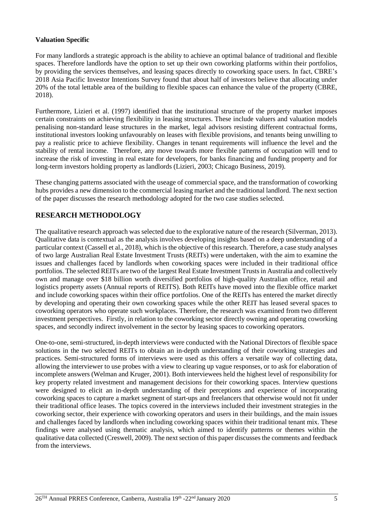### **Valuation Specific**

For many landlords a strategic approach is the ability to achieve an optimal balance of traditional and flexible spaces. Therefore landlords have the option to set up their own coworking platforms within their portfolios, by providing the services themselves, and leasing spaces directly to coworking space users. In fact, CBRE's 2018 Asia Pacific Investor Intentions Survey found that about half of investors believe that allocating under 20% of the total lettable area of the building to flexible spaces can enhance the value of the property (CBRE, 2018).

Furthermore, Lizieri et al. (1997) identified that the institutional structure of the property market imposes certain constraints on achieving flexibility in leasing structures. These include valuers and valuation models penalising non-standard lease structures in the market, legal advisors resisting different contractual forms, institutional investors looking unfavourably on leases with flexible provisions, and tenants being unwilling to pay a realistic price to achieve flexibility. Changes in tenant requirements will influence the level and the stability of rental income. Therefore, any move towards more flexible patterns of occupation will tend to increase the risk of investing in real estate for developers, for banks financing and funding property and for long-term investors holding property as landlords (Lizieri, 2003; Chicago Business, 2019).

These changing patterns associated with the useage of commercial space, and the transformation of coworking hubs provides a new dimension to the commercial leasing market and the traditional landlord. The next section of the paper discusses the research methodology adopted for the two case studies selected.

## **RESEARCH METHODOLOGY**

The qualitative research approach was selected due to the explorative nature of the research (Silverman, 2013). Qualitative data is contextual as the analysis involves developing insights based on a deep understanding of a particular context (Cassell et al., 2018), which is the objective of this research. Therefore, a case study analyses of two large Australian Real Estate Investment Trusts (REITs) were undertaken, with the aim to examine the issues and challenges faced by landlords when coworking spaces were included in their traditional office portfolios. The selected REITs are two of the largest Real Estate Investment Trusts in Australia and collectively own and manage over \$18 billion worth diversified portfolios of high-quality Australian office, retail and logistics property assets (Annual reports of REITS). Both REITs have moved into the flexible office market and include coworking spaces within their office portfolios. One of the REITs has entered the market directly by developing and operating their own coworking spaces while the other REIT has leased several spaces to coworking operators who operate such workplaces. Therefore, the research was examined from two different investment perspectives. Firstly, in relation to the coworking sector directly owning and operating coworking spaces, and secondly indirect involvement in the sector by leasing spaces to coworking operators.

One-to-one, semi-structured, in-depth interviews were conducted with the National Directors of flexible space solutions in the two selected REITs to obtain an in-depth understanding of their coworking strategies and practices. Semi-structured forms of interviews were used as this offers a versatile way of collecting data, allowing the interviewer to use probes with a view to clearing up vague responses, or to ask for elaboration of incomplete answers (Welman and Kruger, 2001). Both interviewees held the highest level of responsibility for key property related investment and management decisions for their coworking spaces. Interview questions were designed to elicit an in-depth understanding of their perceptions and experience of incorporating coworking spaces to capture a market segment of start-ups and freelancers that otherwise would not fit under their traditional office leases. The topics covered in the interviews included their investment strategies in the coworking sector, their experience with coworking operators and users in their buildings, and the main issues and challenges faced by landlords when including coworking spaces within their traditional tenant mix. These findings were analysed using thematic analysis, which aimed to identify patterns or themes within the qualitative data collected (Creswell, 2009). The next section of this paper discusses the comments and feedback from the interviews.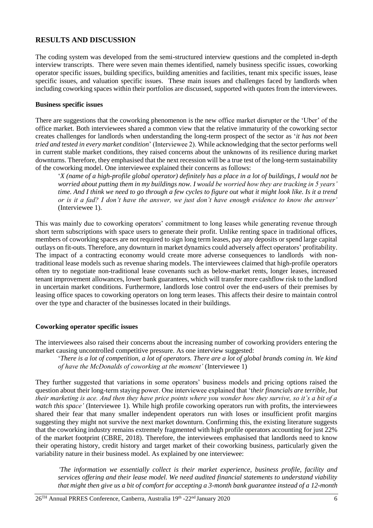### **RESULTS AND DISCUSSION**

The coding system was developed from the semi-structured interview questions and the completed in-depth interview transcripts. There were seven main themes identified, namely business specific issues, coworking operator specific issues, building specifics, building amenities and facilities, tenant mix specific issues, lease specific issues, and valuation specific issues. These main issues and challenges faced by landlords when including coworking spaces within their portfolios are discussed, supported with quotes from the interviewees.

### **Business specific issues**

There are suggestions that the coworking phenomenon is the new office market disrupter or the 'Uber' of the office market. Both interviewees shared a common view that the relative immaturity of the coworking sector creates challenges for landlords when understanding the long-term prospect of the sector as '*it has not been tried and tested in every market condition*' (Interviewee 2). While acknowledging that the sector performs well in current stable market conditions, they raised concerns about the unknowns of its resilience during market downturns. Therefore, they emphasised that the next recession will be a true test of the long-term sustainability of the coworking model. One interviewee explained their concerns as follows:

'*X (name of a high-profile global operator) definitely has a place in a lot of buildings, I would not be worried about putting them in my buildings now. I would be worried how they are tracking in 5 years' time. And I think we need to go through a few cycles to figure out what it might look like. Is it a trend or is it a fad? I don't have the answer, we just don't have enough evidence to know the answer'*  (Interviewee 1).

This was mainly due to coworking operators' commitment to long leases while generating revenue through short term subscriptions with space users to generate their profit. Unlike renting space in traditional offices, members of coworking spaces are not required to sign long term leases, pay any deposits or spend large capital outlays on fit-outs. Therefore, any downturn in market dynamics could adversely affect operators' profitability. The impact of a contracting economy would create more adverse consequences to landlords with nontraditional lease models such as revenue sharing models. The interviewees claimed that high-profile operators often try to negotiate non-traditional lease covenants such as below-market rents, longer leases, increased tenant improvement allowances, lower bank guarantees, which will transfer more cashflow risk to the landlord in uncertain market conditions. Furthermore, landlords lose control over the end-users of their premises by leasing office spaces to coworking operators on long term leases. This affects their desire to maintain control over the type and character of the businesses located in their buildings.

### **Coworking operator specific issues**

The interviewees also raised their concerns about the increasing number of coworking providers entering the market causing uncontrolled competitive pressure. As one interview suggested:

'*There is a lot of competition, a lot of operators. There are a lot of global brands coming in. We kind of have the McDonalds of coworking at the moment'* (Interviewee 1)

They further suggested that variations in some operators' business models and pricing options raised the question about their long-term staying power. One interviewee explained that 't*heir financials are terrible, but their marketing is ace. And then they have price points where you wonder how they survive, so it's a bit of a watch this space'* (Interviewee 1)*.* While high profile coworking operators run with profits, the interviewees shared their fear that many smaller independent operators run with loses or insufficient profit margins suggesting they might not survive the next market downturn. Confirming this, the existing literature suggests that the coworking industry remains extremely fragmented with high profile operators accounting for just 22% of the market footprint (CBRE, 2018). Therefore, the interviewees emphasised that landlords need to know their operating history, credit history and target market of their coworking business, particularly given the variability nature in their business model. As explained by one interviewee:

*'The information we essentially collect is their market experience, business profile, facility and services offering and their lease model. We need audited financial statements to understand viability that might then give us a bit of comfort for accepting a 3-month bank guarantee instead of a 12-month*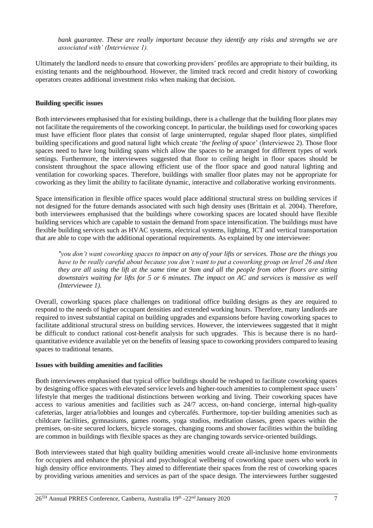*bank guarantee. These are really important because they identify any risks and strengths we are associated with' (Interviewee 1).*

Ultimately the landlord needs to ensure that coworking providers' profiles are appropriate to their building, its existing tenants and the neighbourhood. However, the limited track record and credit history of coworking operators creates additional investment risks when making that decision.

### **Building specific issues**

Both interviewees emphasised that for existing buildings, there is a challenge that the building floor plates may not facilitate the requirements of the coworking concept. In particular, the buildings used for coworking spaces must have efficient floor plates that consist of large uninterrupted, regular shaped floor plates, simplified building specifications and good natural light which create '*the feeling of space*' (Interviewee 2). Those floor spaces need to have long building spans which allow the spaces to be arranged for different types of work settings. Furthermore, the interviewees suggested that floor to ceiling height in floor spaces should be consistent throughout the space allowing efficient use of the floor space and good natural lighting and ventilation for coworking spaces. Therefore, buildings with smaller floor plates may not be appropriate for coworking as they limit the ability to facilitate dynamic, interactive and collaborative working environments.

Space intensification in flexible office spaces would place additional structural stress on building services if not designed for the future demands associated with such high density uses (Brittain et al. 2004). Therefore, both interviewees emphasised that the buildings where coworking spaces are located should have flexible building services which are capable to sustain the demand from space intensification. The buildings must have flexible building services such as HVAC systems, electrical systems, lighting, ICT and vertical transportation that are able to cope with the additional operational requirements. As explained by one interviewee:

*"you don't want coworking spaces to impact on any of your lifts or services. Those are the things you have to be really careful about because you don't want to put a coworking group on level 26 and then they are all using the lift at the same time at 9am and all the people from other floors are sitting downstairs waiting for lifts for 5 or 6 minutes. The impact on AC and services is massive as well (Interviewee 1).* 

Overall, coworking spaces place challenges on traditional office building designs as they are required to respond to the needs of higher occupant densities and extended working hours. Therefore, many landlords are required to invest substantial capital on building upgrades and expansions before having coworking spaces to facilitate additional structural stress on building services. However, the interviewees suggested that it might be difficult to conduct rational cost-benefit analysis for such upgrades. This is because there is no hardquantitative evidence available yet on the benefits of leasing space to coworking providers compared to leasing spaces to traditional tenants.

### **Issues with building amenities and facilities**

Both interviewees emphasised that typical office buildings should be reshaped to facilitate coworking spaces by designing office spaces with elevated service levels and higher-touch amenities to complement space users' lifestyle that merges the traditional distinctions between working and living. Their coworking spaces have access to various amenities and facilities such as 24/7 access, on-hand concierge, internal high-quality cafeterias, larger atria/lobbies and lounges and cybercafés. Furthermore, top-tier building amenities such as childcare facilities, gymnasiums, games rooms, yoga studios, meditation classes, green spaces within the premises, on-site secured lockers, bicycle storages, changing rooms and shower facilities within the building are common in buildings with flexible spaces as they are changing towards service-oriented buildings.

Both interviewees stated that high quality building amenities would create all-inclusive home environments for occupiers and enhance the physical and psychological wellbeing of coworking space users who work in high density office environments. They aimed to differentiate their spaces from the rest of coworking spaces by providing various amenities and services as part of the space design. The interviewees further suggested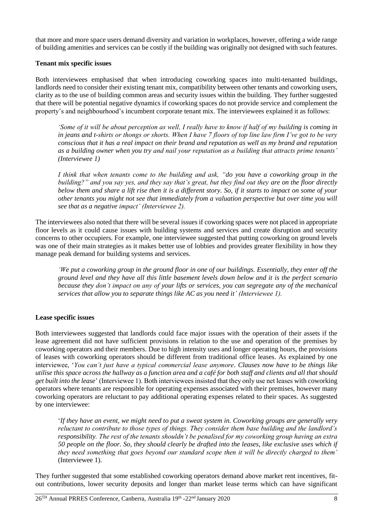that more and more space users demand diversity and variation in workplaces, however, offering a wide range of building amenities and services can be costly if the building was originally not designed with such features.

### **Tenant mix specific issues**

Both interviewees emphasised that when introducing coworking spaces into multi-tenanted buildings, landlords need to consider their existing tenant mix, compatibility between other tenants and coworking users, clarity as to the use of building common areas and security issues within the building. They further suggested that there will be potential negative dynamics if coworking spaces do not provide service and complement the property's and neighbourhood's incumbent corporate tenant mix. The interviewees explained it as follows:

*'Some of it will be about perception as well, I really have to know if half of my building is coming in in jeans and t-shirts or thongs or shorts. When I have 7 floors of top line law firm I've got to be very conscious that it has a real impact on their brand and reputation as well as my brand and reputation as a building owner when you try and nail your reputation as a building that attracts prime tenants' (Interviewee 1)*

*I think that when tenants come to the building and ask, "do you have a coworking group in the building?" and you say yes, and they say that's great, but they find out they are on the floor directly below them and share a lift rise then it is a different story. So, if it starts to impact on some of your other tenants you might not see that immediately from a valuation perspective but over time you will see that as a negative impact' (Interviewee 2).* 

The interviewees also noted that there will be several issues if coworking spaces were not placed in appropriate floor levels as it could cause issues with building systems and services and create disruption and security concerns to other occupiers. For example, one interviewee suggested that putting coworking on ground levels was one of their main strategies as it makes better use of lobbies and provides greater flexibility in how they manage peak demand for building systems and services.

*'We put a coworking group in the ground floor in one of our buildings. Essentially, they enter off the ground level and they have all this little basement levels down below and it is the perfect scenario because they don't impact on any of your lifts or services, you can segregate any of the mechanical services that allow you to separate things like AC as you need it' (Interviewee 1).* 

### **Lease specific issues**

Both interviewees suggested that landlords could face major issues with the operation of their assets if the lease agreement did not have sufficient provisions in relation to the use and operation of the premises by coworking operators and their members. Due to high intensity uses and longer operating hours, the provisions of leases with coworking operators should be different from traditional office leases. As explained by one interviewee, '*You can't just have a typical commercial lease anymore. Clauses now have to be things like utilise this space across the hallway as a function area and a café for both staff and clients and all that should get built into the lease*' (Interviewee 1). Both interviewees insisted that they only use net leases with coworking operators where tenants are responsible for operating expenses associated with their premises, however many coworking operators are reluctant to pay additional operating expenses related to their spaces. As suggested by one interviewee:

'*If they have an event, we might need to put a sweat system in. Coworking groups are generally very reluctant to contribute to those types of things. They consider them base building and the landlord's responsibility. The rest of the tenants shouldn't be penalised for my coworking group having an extra 50 people on the floor. So, they should clearly be drafted into the leases, like exclusive uses which if they need something that goes beyond our standard scope then it will be directly charged to them'* (Interviewee 1).

They further suggested that some established coworking operators demand above market rent incentives, fitout contributions, lower security deposits and longer than market lease terms which can have significant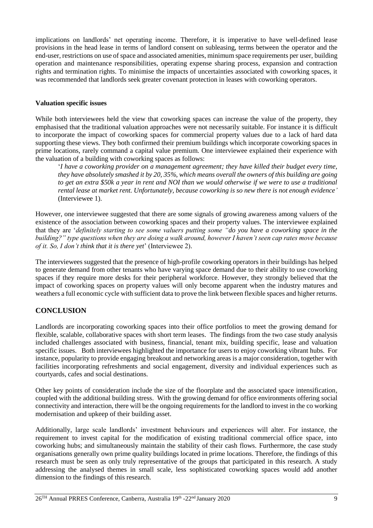implications on landlords' net operating income. Therefore, it is imperative to have well-defined lease provisions in the head lease in terms of landlord consent on subleasing, terms between the operator and the end-user, restrictions on use of space and associated amenities, minimum space requirements per user, building operation and maintenance responsibilities, operating expense sharing process, expansion and contraction rights and termination rights. To minimise the impacts of uncertainties associated with coworking spaces, it was recommended that landlords seek greater covenant protection in leases with coworking operators.

### **Valuation specific issues**

While both interviewees held the view that coworking spaces can increase the value of the property, they emphasised that the traditional valuation approaches were not necessarily suitable. For instance it is difficult to incorporate the impact of coworking spaces for commercial property values due to a lack of hard data supporting these views. They both confirmed their premium buildings which incorporate coworking spaces in prime locations, rarely command a capital value premium. One interviewee explained their experience with the valuation of a building with coworking spaces as follows:

'*I have a coworking provider on a management agreement; they have killed their budget every time, they have absolutely smashed it by 20, 35%, which means overall the owners of this building are going to get an extra \$50k a year in rent and NOI than we would otherwise if we were to use a traditional rental lease at market rent. Unfortunately, because coworking is so new there is not enough evidence'*  (Interviewee 1).

However, one interviewee suggested that there are some signals of growing awareness among valuers of the existence of the association between coworking spaces and their property values. The interviewee explained that they are '*definitely starting to see some valuers putting some "do you have a coworking space in the building?" type questions when they are doing a walk around, however I haven't seen cap rates move because of it. So, I don't think that it is there yet*' (Interviewee 2).

The interviewees suggested that the presence of high-profile coworking operators in their buildings has helped to generate demand from other tenants who have varying space demand due to their ability to use coworking spaces if they require more desks for their peripheral workforce. However, they strongly believed that the impact of coworking spaces on property values will only become apparent when the industry matures and weathers a full economic cycle with sufficient data to prove the link between flexible spaces and higher returns.

## **CONCLUSION**

Landlords are incorporating coworking spaces into their office portfolios to meet the growing demand for flexible, scalable, collaborative spaces with short term leases. The findings from the two case study analysis included challenges associated with business, financial, tenant mix, building specific, lease and valuation specific issues. Both interviewees highlighted the importance for users to enjoy coworking vibrant hubs. For instance, popularity to provide engaging breakout and networking areas is a major consideration, together with facilities incorporating refreshments and social engagement, diversity and individual experiences such as courtyards, cafes and social destinations.

Other key points of consideration include the size of the floorplate and the associated space intensification, coupled with the additional building stress. With the growing demand for office environments offering social connectivity and interaction, there will be the ongoing requirements for the landlord to invest in the co working modernisation and upkeep of their building asset.

Additionally, large scale landlords' investment behaviours and experiences will alter. For instance, the requirement to invest capital for the modification of existing traditional commercial office space, into coworking hubs; and simultaneously maintain the stability of their cash flows. Furthermore, the case study organisations generally own prime quality buildings located in prime locations. Therefore, the findings of this research must be seen as only truly representative of the groups that participated in this research. A study addressing the analysed themes in small scale, less sophisticated coworking spaces would add another dimension to the findings of this research.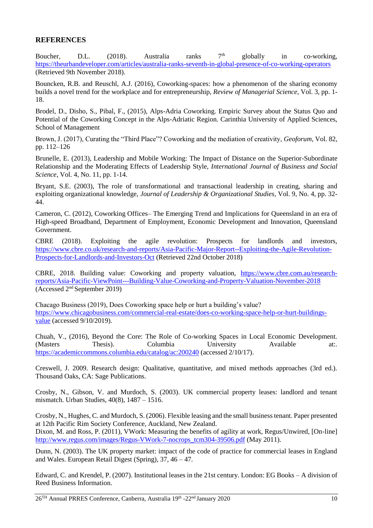### **REFERENCES**

Boucher, D.L. (2018). Australia ranks  $7<sup>th</sup>$  globally in co-working, <https://theurbandeveloper.com/articles/australia-ranks-seventh-in-global-presence-of-co-working-operators> (Retrieved 9th November 2018).

Bouncken, R.B. and Reuschl, A.J. (2016), Coworking-spaces: how a phenomenon of the sharing economy builds a novel trend for the workplace and for entrepreneurship, *Review of Managerial Science*, Vol. 3, pp. 1- 18.

Brodel, D., Disho, S., Pibal, F., (2015), Alps-Adria Coworking. Empiric Survey about the Status Quo and Potential of the Coworking Concept in the Alps-Adriatic Region. Carinthia University of Applied Sciences, School of Management

Brown, J. (2017), Curating the "Third Place"? Coworking and the mediation of creativity, *Geoforum*, Vol. 82, pp. 112–126

Brunelle, E. (2013), Leadership and Mobile Working: The Impact of Distance on the Superior-Subordinate Relationship and the Moderating Effects of Leadership Style, *International Journal of Business and Social Science*, Vol. 4, No. 11, pp. 1-14.

Bryant, S.E. (2003), The role of transformational and transactional leadership in creating, sharing and exploiting organizational knowledge, *Journal of Leadership & Organizational Studies*, Vol. 9, No. 4, pp. 32- 44.

Cameron, C. (2012), Coworking Offices– The Emerging Trend and Implications for Queensland in an era of High-speed Broadband, Department of Employment, Economic Development and Innovation, Queensland Government.

CBRE (2018). Exploiting the agile revolution: Prospects for landlords and investors, [https://www.cbre.co.uk/research-and-reports/Asia-Pacific-Major-Report--Exploiting-the-Agile-Revolution-](https://www.cbre.co.uk/research-and-reports/Asia-Pacific-Major-Report--Exploiting-the-Agile-Revolution-Prospects-for-Landlords-and-Investors-Oct)[Prospects-for-Landlords-and-Investors-Oct](https://www.cbre.co.uk/research-and-reports/Asia-Pacific-Major-Report--Exploiting-the-Agile-Revolution-Prospects-for-Landlords-and-Investors-Oct) (Retrieved 22nd October 2018)

CBRE, 2018. Building value: Coworking and property valuation, [https://www.cbre.com.au/research](https://www.cbre.com.au/research-reports/Asia-Pacific-ViewPoint---Building-Value-Coworking-and-Property-Valuation-November-2018)[reports/Asia-Pacific-ViewPoint---Building-Value-Coworking-and-Property-Valuation-November-2018](https://www.cbre.com.au/research-reports/Asia-Pacific-ViewPoint---Building-Value-Coworking-and-Property-Valuation-November-2018) (Accessed 2nd September 2019)

Chacago Business (2019), Does Coworking space help or hurt a building's value? [https://www.chicagobusiness.com/commercial-real-estate/does-co-working-space-help-or-hurt-buildings](https://www.chicagobusiness.com/commercial-real-estate/does-co-working-space-help-or-hurt-buildings-value)[value](https://www.chicagobusiness.com/commercial-real-estate/does-co-working-space-help-or-hurt-buildings-value) (accessed 9/10/2019).

Chuah, V., (2016), Beyond the Core: The Role of Co-working Spaces in Local Economic Development. (Masters Thesis). Columbia University Available at:. <https://academiccommons.columbia.edu/catalog/ac:200240> (accessed 2/10/17).

Creswell, J. 2009. Research design: Qualitative, quantitative, and mixed methods approaches (3rd ed.). Thousand Oaks, CA: Sage Publications.

Crosby, N., Gibson, V. and Murdoch, S. (2003). UK commercial property leases: landlord and tenant mismatch. Urban Studies, 40(8), 1487 – 1516.

Crosby, N., Hughes, C. and Murdoch, S. (2006). Flexible leasing and the small business tenant. Paper presented at 12th Pacific Rim Society Conference, Auckland, New Zealand.

Dixon, M. and Ross, P. (2011), VWork: Measuring the benefits of agility at work, Regus/Unwired, [On-line] [http://www.regus.com/images/Regus-VWork-7-nocrops\\_tcm304-39506.pdf](http://www.regus.com/images/Regus-VWork-7-nocrops_tcm304-39506.pdf) (May 2011).

Dunn, N. (2003). The UK property market: impact of the code of practice for commercial leases in England and Wales. European Retail Digest (Spring), 37, 46 – 47.

Edward, C. and Krendel, P. (2007). Institutional leases in the 21st century. London: EG Books – A division of Reed Business Information.